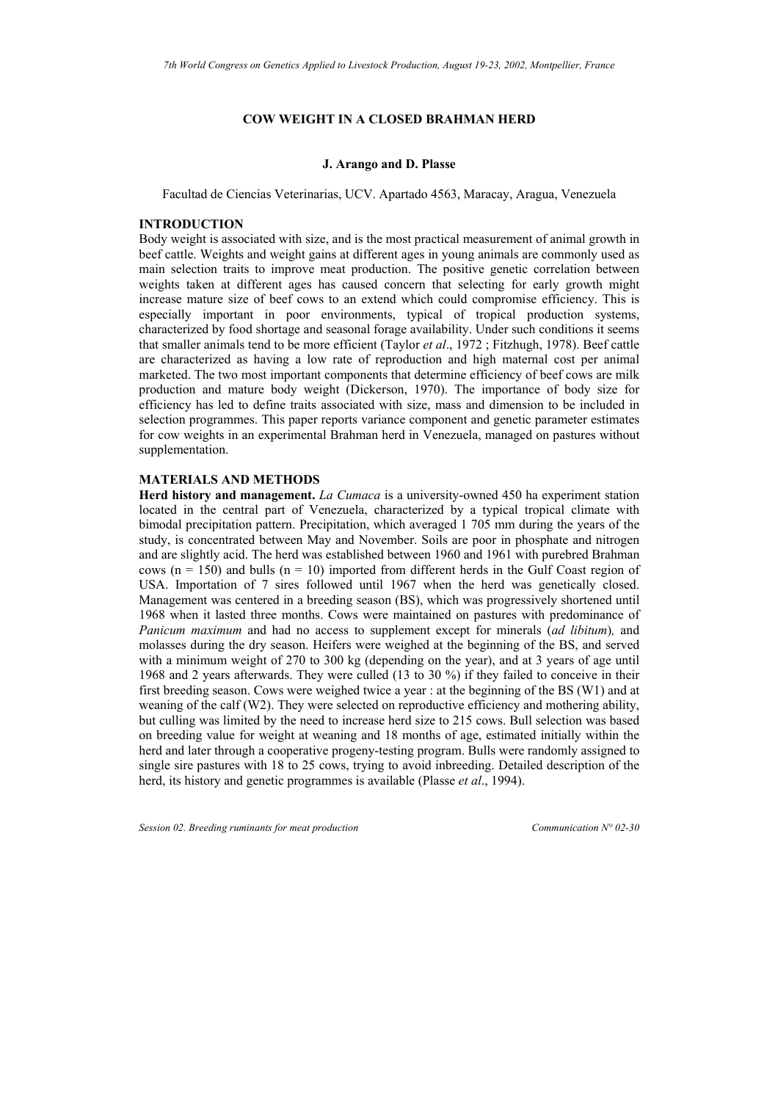# **COW WEIGHT IN A CLOSED BRAHMAN HERD**

#### **J. Arango and D. Plasse**

Facultad de Ciencias Veterinarias, UCV. Apartado 4563, Maracay, Aragua, Venezuela

# **INTRODUCTION**

Body weight is associated with size, and is the most practical measurement of animal growth in beef cattle. Weights and weight gains at different ages in young animals are commonly used as main selection traits to improve meat production. The positive genetic correlation between weights taken at different ages has caused concern that selecting for early growth might increase mature size of beef cows to an extend which could compromise efficiency. This is especially important in poor environments, typical of tropical production systems, characterized by food shortage and seasonal forage availability. Under such conditions it seems that smaller animals tend to be more efficient (Taylor *et al*., 1972 ; Fitzhugh, 1978). Beef cattle are characterized as having a low rate of reproduction and high maternal cost per animal marketed. The two most important components that determine efficiency of beef cows are milk production and mature body weight (Dickerson, 1970). The importance of body size for efficiency has led to define traits associated with size, mass and dimension to be included in selection programmes. This paper reports variance component and genetic parameter estimates for cow weights in an experimental Brahman herd in Venezuela, managed on pastures without supplementation.

# **MATERIALS AND METHODS**

**Herd history and management.** *La Cumaca* is a university-owned 450 ha experiment station located in the central part of Venezuela, characterized by a typical tropical climate with bimodal precipitation pattern. Precipitation, which averaged 1 705 mm during the years of the study, is concentrated between May and November. Soils are poor in phosphate and nitrogen and are slightly acid. The herd was established between 1960 and 1961 with purebred Brahman cows ( $n = 150$ ) and bulls ( $n = 10$ ) imported from different herds in the Gulf Coast region of USA. Importation of 7 sires followed until 1967 when the herd was genetically closed. Management was centered in a breeding season (BS), which was progressively shortened until 1968 when it lasted three months. Cows were maintained on pastures with predominance of *Panicum maximum* and had no access to supplement except for minerals (*ad libitum*)*,* and molasses during the dry season. Heifers were weighed at the beginning of the BS, and served with a minimum weight of 270 to 300 kg (depending on the year), and at 3 years of age until 1968 and 2 years afterwards. They were culled (13 to 30 %) if they failed to conceive in their first breeding season. Cows were weighed twice a year : at the beginning of the BS (W1) and at weaning of the calf (W2). They were selected on reproductive efficiency and mothering ability, but culling was limited by the need to increase herd size to 215 cows. Bull selection was based on breeding value for weight at weaning and 18 months of age, estimated initially within the herd and later through a cooperative progeny-testing program. Bulls were randomly assigned to single sire pastures with 18 to 25 cows, trying to avoid inbreeding. Detailed description of the herd, its history and genetic programmes is available (Plasse *et al*., 1994).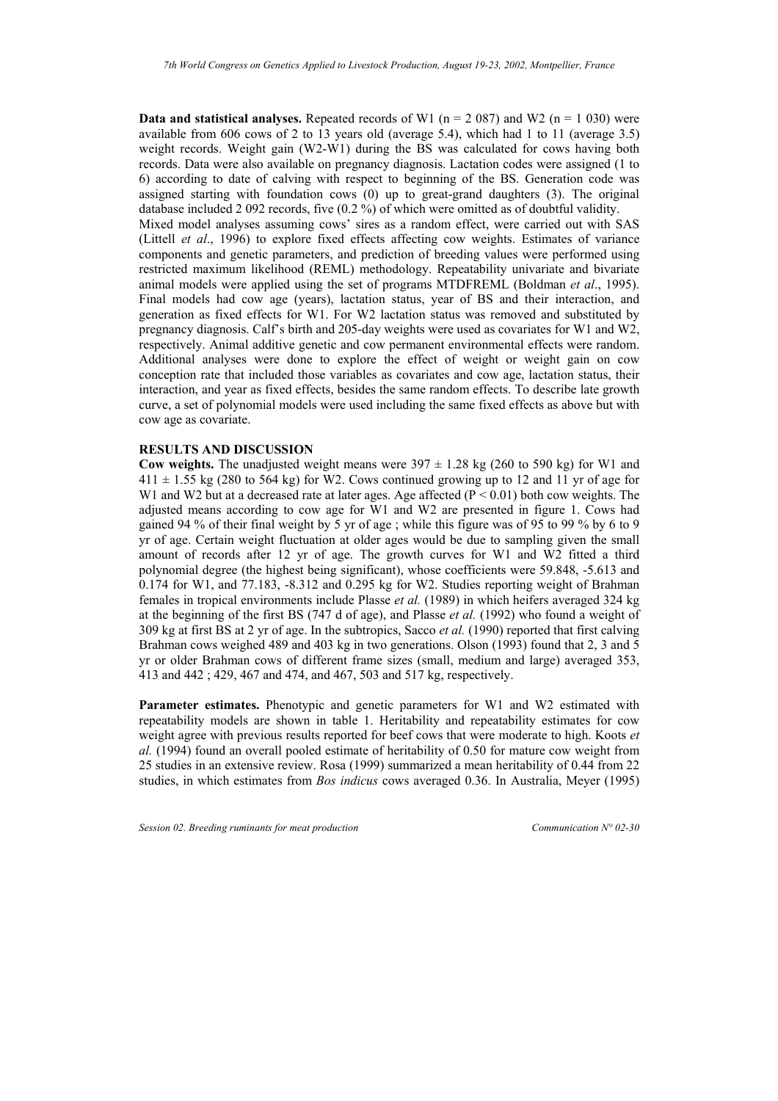**Data and statistical analyses.** Repeated records of W1 ( $n = 2087$ ) and W2 ( $n = 1030$ ) were available from 606 cows of 2 to 13 years old (average 5.4), which had 1 to 11 (average 3.5) weight records. Weight gain (W2-W1) during the BS was calculated for cows having both records. Data were also available on pregnancy diagnosis. Lactation codes were assigned (1 to 6) according to date of calving with respect to beginning of the BS. Generation code was assigned starting with foundation cows (0) up to great-grand daughters (3). The original database included 2 092 records, five (0.2 %) of which were omitted as of doubtful validity. Mixed model analyses assuming cows' sires as a random effect, were carried out with SAS (Littell *et al*., 1996) to explore fixed effects affecting cow weights. Estimates of variance components and genetic parameters, and prediction of breeding values were performed using restricted maximum likelihood (REML) methodology. Repeatability univariate and bivariate animal models were applied using the set of programs MTDFREML (Boldman *et al*., 1995). Final models had cow age (years), lactation status, year of BS and their interaction, and generation as fixed effects for W1. For W2 lactation status was removed and substituted by pregnancy diagnosis. Calf's birth and 205-day weights were used as covariates for W1 and W2, respectively. Animal additive genetic and cow permanent environmental effects were random. Additional analyses were done to explore the effect of weight or weight gain on cow conception rate that included those variables as covariates and cow age, lactation status, their interaction, and year as fixed effects, besides the same random effects. To describe late growth curve, a set of polynomial models were used including the same fixed effects as above but with cow age as covariate.

### **RESULTS AND DISCUSSION**

**Cow weights.** The unadjusted weight means were  $397 \pm 1.28$  kg (260 to 590 kg) for W1 and  $411 \pm 1.55$  kg (280 to 564 kg) for W2. Cows continued growing up to 12 and 11 yr of age for W1 and W2 but at a decreased rate at later ages. Age affected  $(P < 0.01)$  both cow weights. The adjusted means according to cow age for W1 and W2 are presented in figure 1. Cows had gained 94 % of their final weight by 5 yr of age ; while this figure was of 95 to 99 % by 6 to 9 yr of age. Certain weight fluctuation at older ages would be due to sampling given the small amount of records after 12 yr of age. The growth curves for W1 and W2 fitted a third polynomial degree (the highest being significant), whose coefficients were 59.848, -5.613 and 0.174 for W1, and 77.183, -8.312 and 0.295 kg for W2. Studies reporting weight of Brahman females in tropical environments include Plasse *et al.* (1989) in which heifers averaged 324 kg at the beginning of the first BS (747 d of age), and Plasse *et al.* (1992) who found a weight of 309 kg at first BS at 2 yr of age. In the subtropics, Sacco *et al.* (1990) reported that first calving Brahman cows weighed 489 and 403 kg in two generations. Olson (1993) found that 2, 3 and 5 yr or older Brahman cows of different frame sizes (small, medium and large) averaged 353, 413 and 442 ; 429, 467 and 474, and 467, 503 and 517 kg, respectively.

**Parameter estimates.** Phenotypic and genetic parameters for W1 and W2 estimated with repeatability models are shown in table 1. Heritability and repeatability estimates for cow weight agree with previous results reported for beef cows that were moderate to high. Koots *et al.* (1994) found an overall pooled estimate of heritability of 0.50 for mature cow weight from 25 studies in an extensive review. Rosa (1999) summarized a mean heritability of 0.44 from 22 studies, in which estimates from *Bos indicus* cows averaged 0.36. In Australia, Meyer (1995)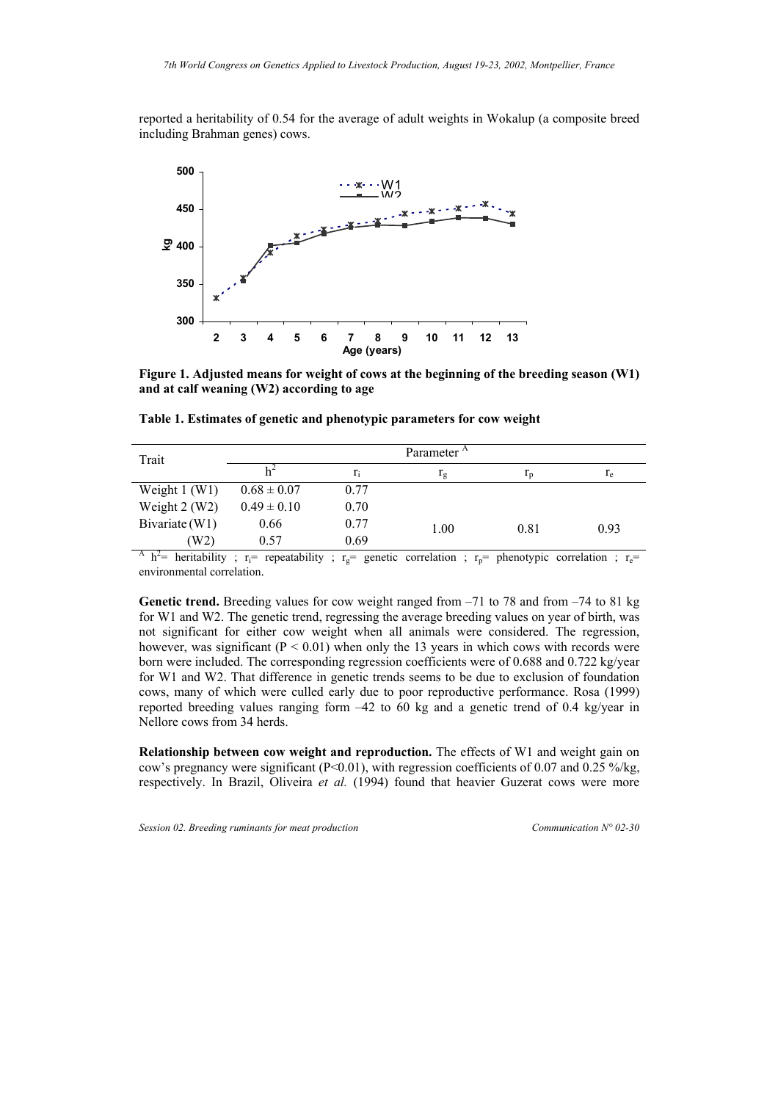reported a heritability of 0.54 for the average of adult weights in Wokalup (a composite breed including Brahman genes) cows.



**Figure 1. Adjusted means for weight of cows at the beginning of the breeding season (W1) and at calf weaning (W2) according to age**

| Trait            | Parameter <sup>A</sup> |       |               |                |       |
|------------------|------------------------|-------|---------------|----------------|-------|
|                  |                        | $r_i$ | $\frac{1}{2}$ | 1 <sub>p</sub> | $r_e$ |
| Weight $1$ (W1)  | $0.68 \pm 0.07$        | 0.77  |               |                |       |
| Weight $2$ (W2)  | $0.49 \pm 0.10$        | 0.70  |               |                |       |
| Bivariate $(W1)$ | 0.66                   | 0.77  | 1.00          | 0.81           | 0.93  |
| (W2)             | 0.57                   | 0.69  |               |                |       |

**Table 1. Estimates of genetic and phenotypic parameters for cow weight** 

<sup>A</sup> h<sup>2</sup>= heritability ; r<sub>i</sub>= repeatability ; r<sub>g</sub>= genetic correlation ; r<sub>p</sub>= phenotypic correlation ; r<sub>e</sub>= environmental correlation.

**Genetic trend.** Breeding values for cow weight ranged from –71 to 78 and from –74 to 81 kg for W1 and W2. The genetic trend, regressing the average breeding values on year of birth, was not significant for either cow weight when all animals were considered. The regression, however, was significant  $(P < 0.01)$  when only the 13 years in which cows with records were born were included. The corresponding regression coefficients were of 0.688 and 0.722 kg/year for W1 and W2. That difference in genetic trends seems to be due to exclusion of foundation cows, many of which were culled early due to poor reproductive performance. Rosa (1999) reported breeding values ranging form –42 to 60 kg and a genetic trend of 0.4 kg/year in Nellore cows from 34 herds.

**Relationship between cow weight and reproduction.** The effects of W1 and weight gain on cow's pregnancy were significant ( $P<0.01$ ), with regression coefficients of 0.07 and 0.25 %/kg, respectively. In Brazil, Oliveira *et al.* (1994) found that heavier Guzerat cows were more